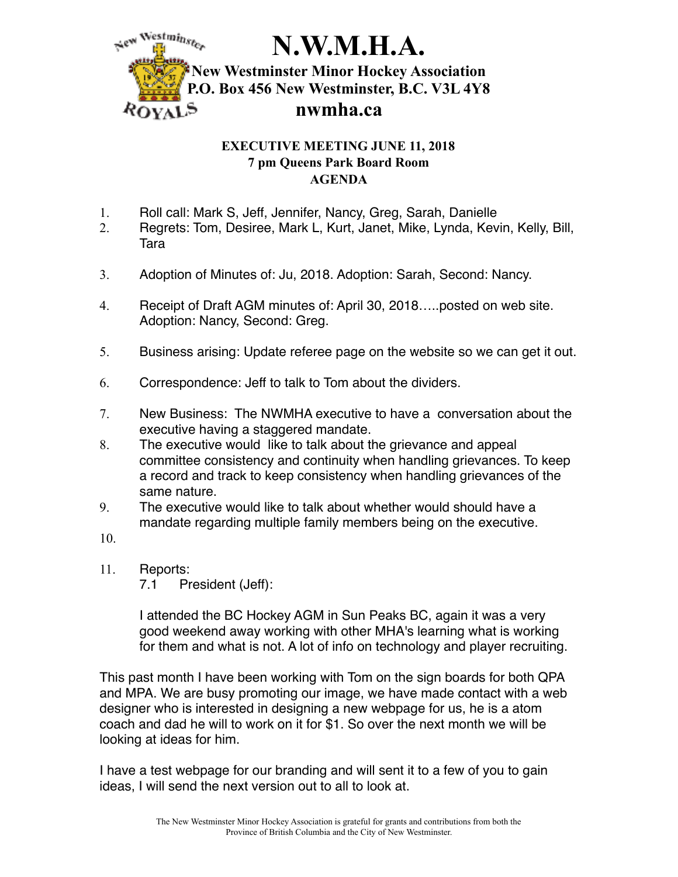

## **EXECUTIVE MEETING JUNE 11, 2018 7 pm Queens Park Board Room AGENDA**

- 1. Roll call: Mark S, Jeff, Jennifer, Nancy, Greg, Sarah, Danielle
- 2. Regrets: Tom, Desiree, Mark L, Kurt, Janet, Mike, Lynda, Kevin, Kelly, Bill, Tara
- 3. Adoption of Minutes of: Ju, 2018. Adoption: Sarah, Second: Nancy.
- 4. Receipt of Draft AGM minutes of: April 30, 2018…..posted on web site. Adoption: Nancy, Second: Greg.
- 5. Business arising: Update referee page on the website so we can get it out.
- 6. Correspondence: Jeff to talk to Tom about the dividers.
- 7. New Business: The NWMHA executive to have a conversation about the executive having a staggered mandate.
- 8. The executive would like to talk about the grievance and appeal committee consistency and continuity when handling grievances. To keep a record and track to keep consistency when handling grievances of the same nature.
- 9. The executive would like to talk about whether would should have a mandate regarding multiple family members being on the executive.
- 10.
- 11. Reports:
	- 7.1 President (Jeff):

I attended the BC Hockey AGM in Sun Peaks BC, again it was a very good weekend away working with other MHA's learning what is working for them and what is not. A lot of info on technology and player recruiting.

This past month I have been working with Tom on the sign boards for both QPA and MPA. We are busy promoting our image, we have made contact with a web designer who is interested in designing a new webpage for us, he is a atom coach and dad he will to work on it for \$1. So over the next month we will be looking at ideas for him.

I have a test webpage for our branding and will sent it to a few of you to gain ideas, I will send the next version out to all to look at.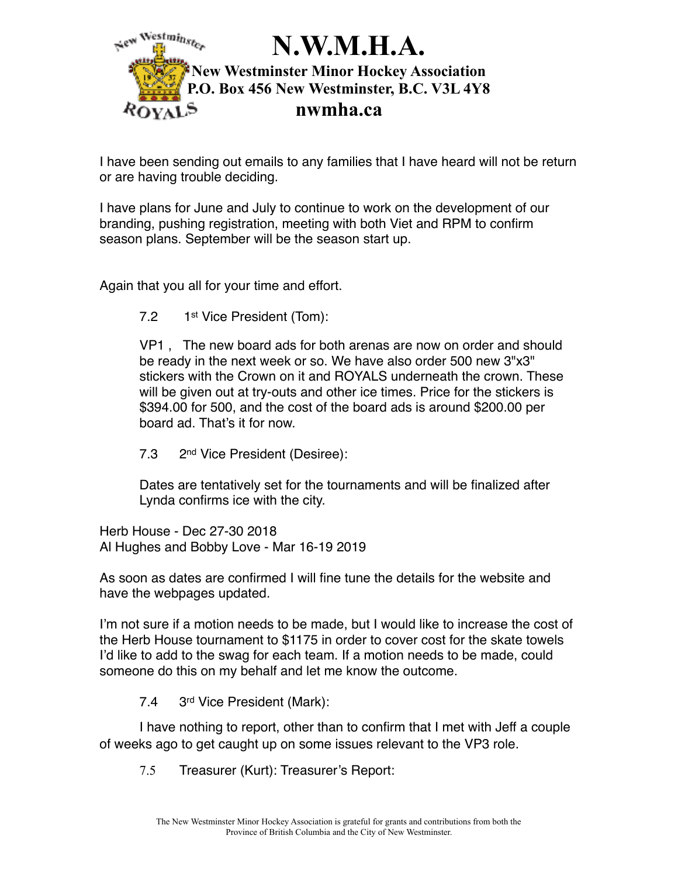

I have been sending out emails to any families that I have heard will not be return or are having trouble deciding.

I have plans for June and July to continue to work on the development of our branding, pushing registration, meeting with both Viet and RPM to confirm season plans. September will be the season start up.

Again that you all for your time and effort.

7.2 1st Vice President (Tom):

VP1 , The new board ads for both arenas are now on order and should be ready in the next week or so. We have also order 500 new 3"x3" stickers with the Crown on it and ROYALS underneath the crown. These will be given out at try-outs and other ice times. Price for the stickers is \$394.00 for 500, and the cost of the board ads is around \$200.00 per board ad. That's it for now.

7.3 2nd Vice President (Desiree):

Dates are tentatively set for the tournaments and will be finalized after Lynda confirms ice with the city.

Herb House - Dec 27-30 2018 Al Hughes and Bobby Love - Mar 16-19 2019

As soon as dates are confirmed I will fine tune the details for the website and have the webpages updated.

I'm not sure if a motion needs to be made, but I would like to increase the cost of the Herb House tournament to \$1175 in order to cover cost for the skate towels I'd like to add to the swag for each team. If a motion needs to be made, could someone do this on my behalf and let me know the outcome.

7.4 3rd Vice President (Mark):

I have nothing to report, other than to confirm that I met with Jeff a couple of weeks ago to get caught up on some issues relevant to the VP3 role.

7.5 Treasurer (Kurt): Treasurer's Report: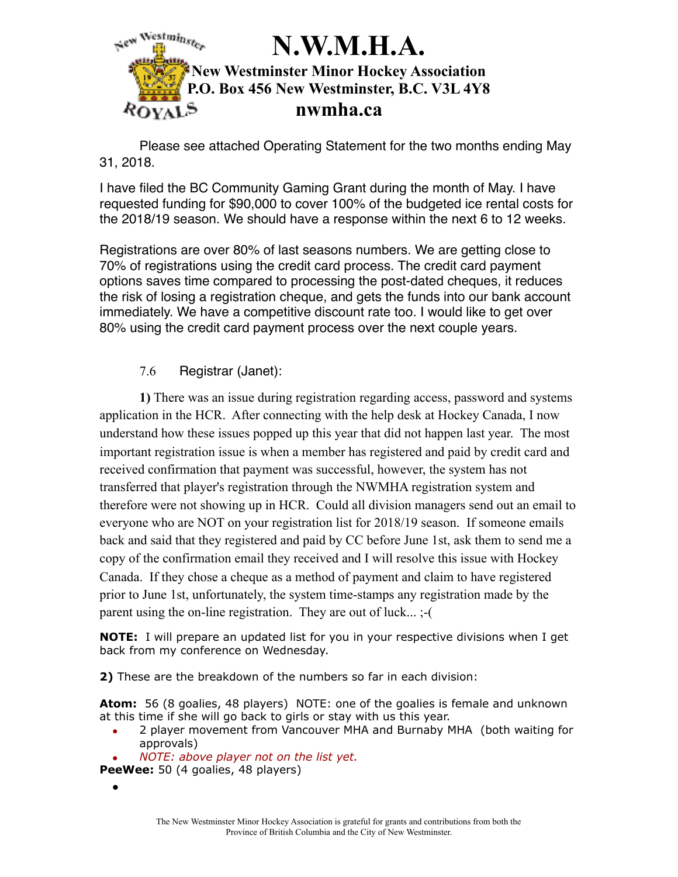

Please see attached Operating Statement for the two months ending May 31, 2018.

I have filed the BC Community Gaming Grant during the month of May. I have requested funding for \$90,000 to cover 100% of the budgeted ice rental costs for the 2018/19 season. We should have a response within the next 6 to 12 weeks.

Registrations are over 80% of last seasons numbers. We are getting close to 70% of registrations using the credit card process. The credit card payment options saves time compared to processing the post-dated cheques, it reduces the risk of losing a registration cheque, and gets the funds into our bank account immediately. We have a competitive discount rate too. I would like to get over 80% using the credit card payment process over the next couple years.

## 7.6 Registrar (Janet):

**1)** There was an issue during registration regarding access, password and systems application in the HCR. After connecting with the help desk at Hockey Canada, I now understand how these issues popped up this year that did not happen last year. The most important registration issue is when a member has registered and paid by credit card and received confirmation that payment was successful, however, the system has not transferred that player's registration through the NWMHA registration system and therefore were not showing up in HCR. Could all division managers send out an email to everyone who are NOT on your registration list for 2018/19 season. If someone emails back and said that they registered and paid by CC before June 1st, ask them to send me a copy of the confirmation email they received and I will resolve this issue with Hockey Canada. If they chose a cheque as a method of payment and claim to have registered prior to June 1st, unfortunately, the system time-stamps any registration made by the parent using the on-line registration. They are out of luck... ;-(

**NOTE:** I will prepare an updated list for you in your respective divisions when I get back from my conference on Wednesday.

**2)** These are the breakdown of the numbers so far in each division:

**Atom:** 56 (8 goalies, 48 players) NOTE: one of the goalies is female and unknown at this time if she will go back to girls or stay with us this year.

- *•* 2 player movement from Vancouver MHA and Burnaby MHA (both waiting for approvals)
- *• NOTE: above player not on the list yet.*

PeeWee: 50 (4 goalies, 48 players)

•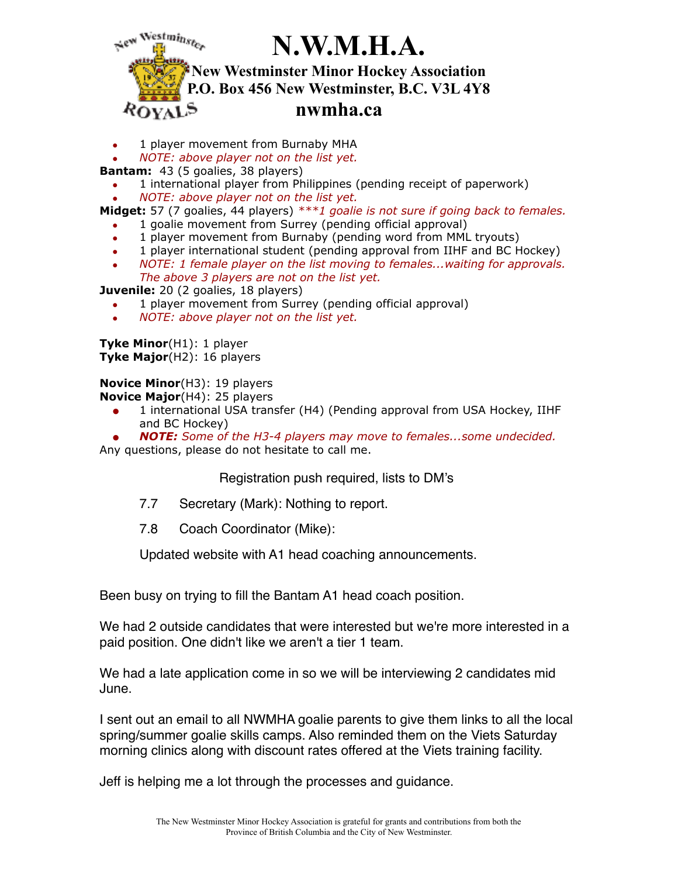

*•* 1 player movement from Burnaby MHA

*• NOTE: above player not on the list yet.* 

**Bantam:** 43 (5 goalies, 38 players)

- *•* 1 international player from Philippines (pending receipt of paperwork)
- *• NOTE: above player not on the list yet.*

**Midget:** 57 (7 goalies, 44 players) *\*\*\*1 goalie is not sure if going back to females.*

- *•* 1 goalie movement from Surrey (pending official approval)
- *•* 1 player movement from Burnaby (pending word from MML tryouts)
- *•* 1 player international student (pending approval from IIHF and BC Hockey)
- *• NOTE: 1 female player on the list moving to females...waiting for approvals. The above 3 players are not on the list yet.*

**Juvenile:** 20 (2 goalies, 18 players)

- *•* 1 player movement from Surrey (pending official approval)
- *• NOTE: above player not on the list yet.*

**Tyke Minor**(H1): 1 player **Tyke Major**(H2): 16 players

**Novice Minor**(H3): 19 players

**Novice Major**(H4): 25 players

*•* 1 international USA transfer (H4) (Pending approval from USA Hockey, IIHF and BC Hockey)

*• NOTE: Some of the H3-4 players may move to females...some undecided.*  Any questions, please do not hesitate to call me.

Registration push required, lists to DM's

- 7.7 Secretary (Mark): Nothing to report.
- 7.8 Coach Coordinator (Mike):

Updated website with A1 head coaching announcements.

Been busy on trying to fill the Bantam A1 head coach position.

We had 2 outside candidates that were interested but we're more interested in a paid position. One didn't like we aren't a tier 1 team.

We had a late application come in so we will be interviewing 2 candidates mid June.

I sent out an email to all NWMHA goalie parents to give them links to all the local spring/summer goalie skills camps. Also reminded them on the Viets Saturday morning clinics along with discount rates offered at the Viets training facility.

Jeff is helping me a lot through the processes and guidance.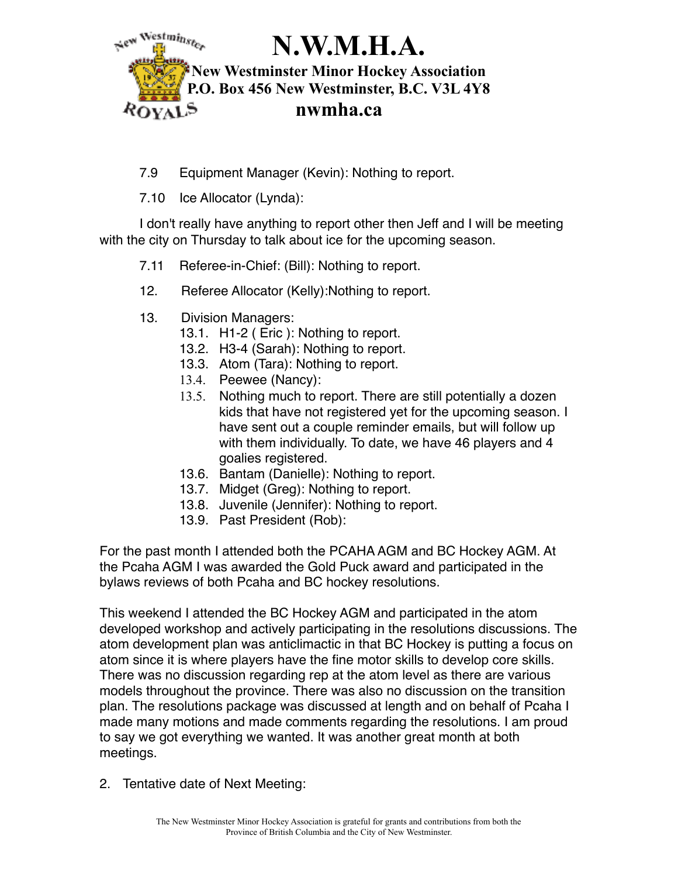

- 7.9 Equipment Manager (Kevin): Nothing to report.
- 7.10 Ice Allocator (Lynda):

I don't really have anything to report other then Jeff and I will be meeting with the city on Thursday to talk about ice for the upcoming season.

- 7.11 Referee-in-Chief: (Bill): Nothing to report.
- 12. Referee Allocator (Kelly):Nothing to report.
- 13. Division Managers:
	- 13.1. H1-2 ( Eric ): Nothing to report.
	- 13.2. H3-4 (Sarah): Nothing to report.
	- 13.3. Atom (Tara): Nothing to report.
	- 13.4. Peewee (Nancy):
	- 13.5. Nothing much to report. There are still potentially a dozen kids that have not registered yet for the upcoming season. I have sent out a couple reminder emails, but will follow up with them individually. To date, we have 46 players and 4 goalies registered.
	- 13.6. Bantam (Danielle): Nothing to report.
	- 13.7. Midget (Greg): Nothing to report.
	- 13.8. Juvenile (Jennifer): Nothing to report.
	- 13.9. Past President (Rob):

For the past month I attended both the PCAHA AGM and BC Hockey AGM. At the Pcaha AGM I was awarded the Gold Puck award and participated in the bylaws reviews of both Pcaha and BC hockey resolutions.

This weekend I attended the BC Hockey AGM and participated in the atom developed workshop and actively participating in the resolutions discussions. The atom development plan was anticlimactic in that BC Hockey is putting a focus on atom since it is where players have the fine motor skills to develop core skills. There was no discussion regarding rep at the atom level as there are various models throughout the province. There was also no discussion on the transition plan. The resolutions package was discussed at length and on behalf of Pcaha I made many motions and made comments regarding the resolutions. I am proud to say we got everything we wanted. It was another great month at both meetings.

2. Tentative date of Next Meeting: